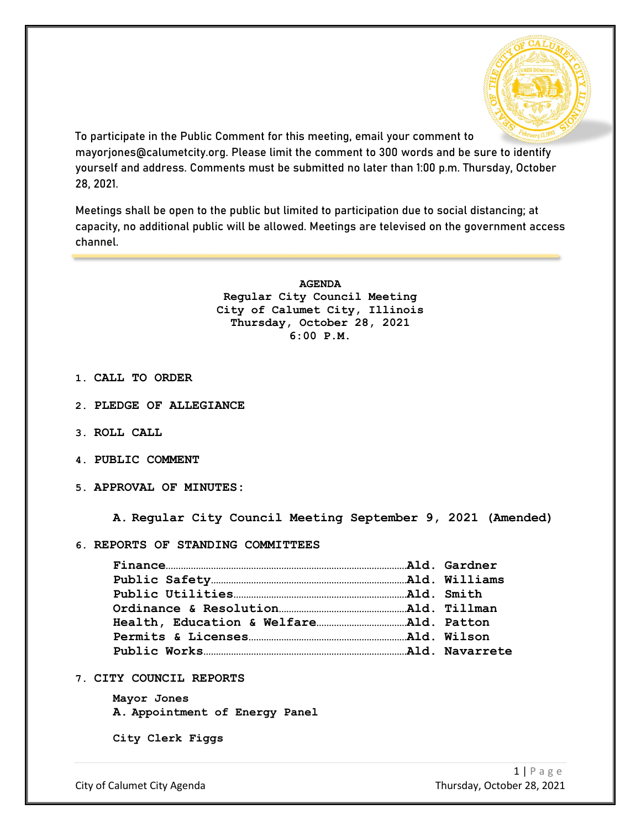

To participate in the Public Comment for this meeting, email your comment to mayorjones@calumetcity.org. Please limit the comment to 300 words and be sure to identify yourself and address. Comments must be submitted no later than 1:00 p.m. Thursday, October 28, 2021.

Meetings shall be open to the public but limited to participation due to social distancing; at capacity, no additional public will be allowed. Meetings are televised on the government access channel.

> **AGENDA Regular City Council Meeting City of Calumet City, Illinois Thursday, October 28, 2021 6:00 P.M.**

- **1. CALL TO ORDER**
- **2. PLEDGE OF ALLEGIANCE**
- **3. ROLL CALL**
- **4. PUBLIC COMMENT**
- **5. APPROVAL OF MINUTES:**

**A. Regular City Council Meeting September 9, 2021 (Amended)**

**6. REPORTS OF STANDING COMMITTEES**

**7. CITY COUNCIL REPORTS**

**Mayor Jones A. Appointment of Energy Panel**

**City Clerk Figgs**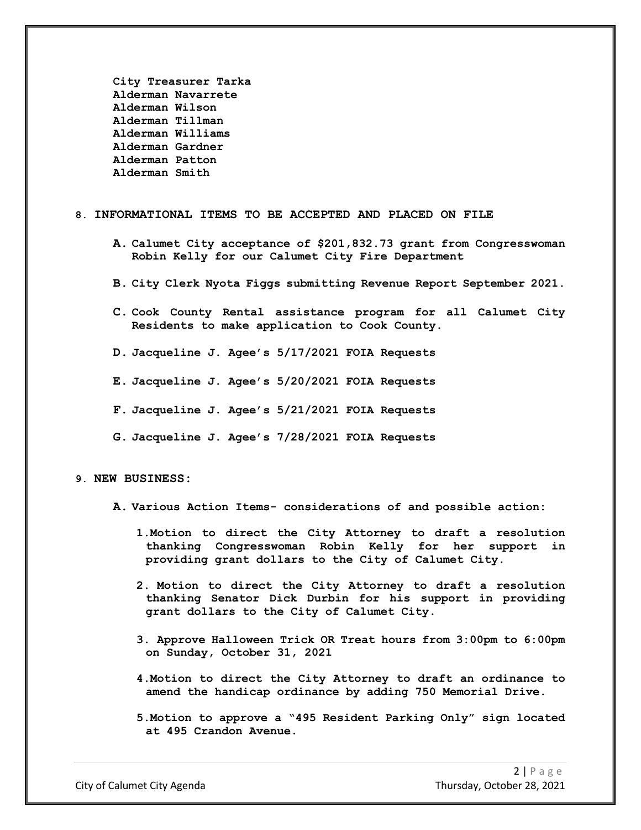**City Treasurer Tarka Alderman Navarrete Alderman Wilson Alderman Tillman Alderman Williams Alderman Gardner Alderman Patton Alderman Smith**

#### **8. INFORMATIONAL ITEMS TO BE ACCEPTED AND PLACED ON FILE**

- **A. Calumet City acceptance of \$201,832.73 grant from Congresswoman Robin Kelly for our Calumet City Fire Department**
- **B. City Clerk Nyota Figgs submitting Revenue Report September 2021.**
- **C. Cook County Rental assistance program for all Calumet City Residents to make application to Cook County.**
- **D. Jacqueline J. Agee's 5/17/2021 FOIA Requests**
- **E. Jacqueline J. Agee's 5/20/2021 FOIA Requests**
- **F. Jacqueline J. Agee's 5/21/2021 FOIA Requests**
- **G. Jacqueline J. Agee's 7/28/2021 FOIA Requests**

### **9. NEW BUSINESS:**

- **A. Various Action Items- considerations of and possible action:**
	- **1.Motion to direct the City Attorney to draft a resolution thanking Congresswoman Robin Kelly for her support in providing grant dollars to the City of Calumet City.**
	- **2. Motion to direct the City Attorney to draft a resolution thanking Senator Dick Durbin for his support in providing grant dollars to the City of Calumet City.**
	- **3. Approve Halloween Trick OR Treat hours from 3:00pm to 6:00pm on Sunday, October 31, 2021**
	- **4.Motion to direct the City Attorney to draft an ordinance to amend the handicap ordinance by adding 750 Memorial Drive.**
	- **5.Motion to approve a "495 Resident Parking Only" sign located at 495 Crandon Avenue.**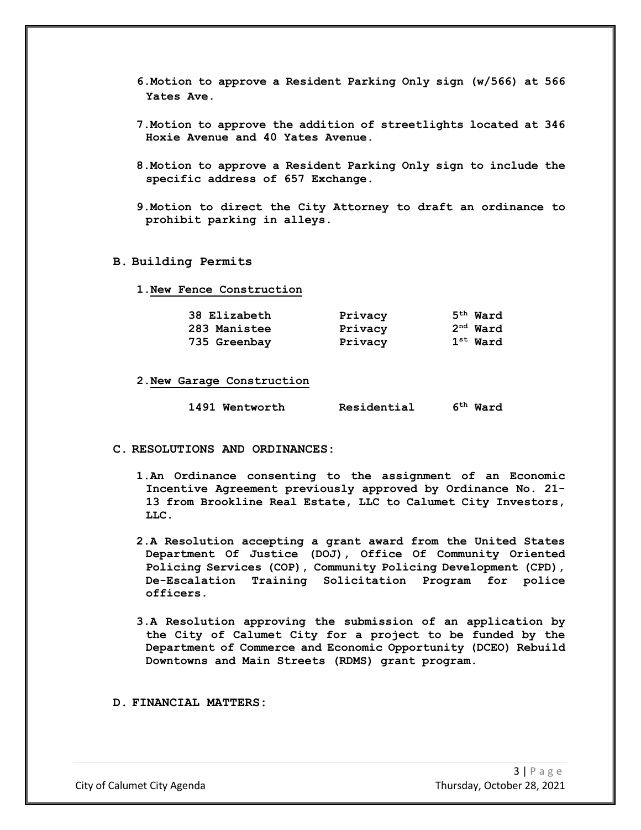- **6.Motion to approve a Resident Parking Only sign (w/566) at 566 Yates Ave.**
- **7.Motion to approve the addition of streetlights located at 346 Hoxie Avenue and 40 Yates Avenue.**
- **8.Motion to approve a Resident Parking Only sign to include the specific address of 657 Exchange.**
- **9.Motion to direct the City Attorney to draft an ordinance to prohibit parking in alleys.**

#### **B. Building Permits**

**1.New Fence Construction**

| 38 Elizabeth | Privacy | $5th$ Ward |
|--------------|---------|------------|
| 283 Manistee | Privacy | $2nd$ Ward |
| 735 Greenbay | Privacy | $1st$ Ward |

**2.New Garage Construction**

|  | 1491 Wentworth | Residential | $6th$ Ward |
|--|----------------|-------------|------------|
|--|----------------|-------------|------------|

### **C. RESOLUTIONS AND ORDINANCES:**

- **1.An Ordinance consenting to the assignment of an Economic Incentive Agreement previously approved by Ordinance No. 21- 13 from Brookline Real Estate, LLC to Calumet City Investors, LLC.**
- **2.A Resolution accepting a grant award from the United States Department Of Justice (DOJ), Office Of Community Oriented Policing Services (COP), Community Policing Development (CPD), De-Escalation Training Solicitation Program for police officers.**
- **3.A Resolution approving the submission of an application by the City of Calumet City for a project to be funded by the Department of Commerce and Economic Opportunity (DCEO) Rebuild Downtowns and Main Streets (RDMS) grant program.**

**D. FINANCIAL MATTERS:**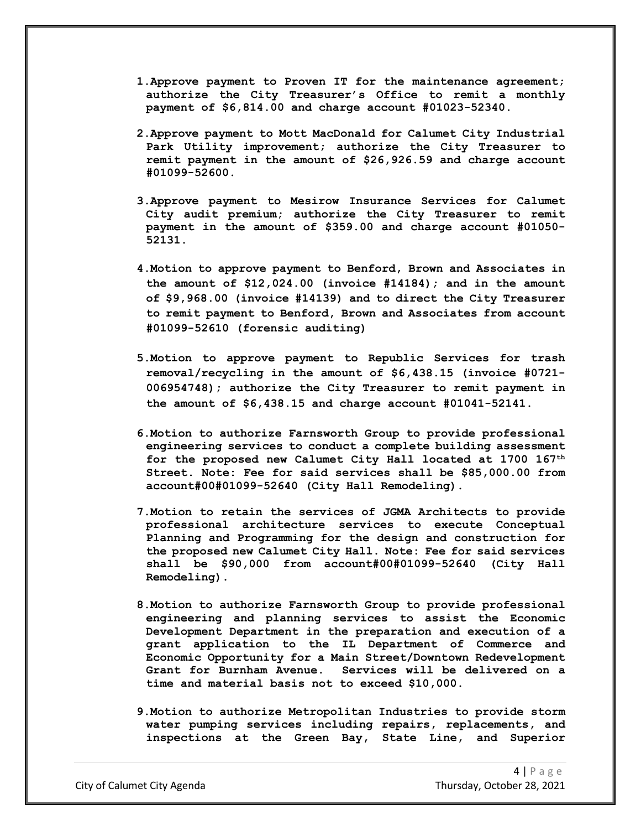- **1.Approve payment to Proven IT for the maintenance agreement; authorize the City Treasurer's Office to remit a monthly payment of \$6,814.00 and charge account #01023-52340.**
- **2.Approve payment to Mott MacDonald for Calumet City Industrial Park Utility improvement; authorize the City Treasurer to remit payment in the amount of \$26,926.59 and charge account #01099-52600.**
- **3.Approve payment to Mesirow Insurance Services for Calumet City audit premium; authorize the City Treasurer to remit payment in the amount of \$359.00 and charge account #01050- 52131.**
- **4.Motion to approve payment to Benford, Brown and Associates in the amount of \$12,024.00 (invoice #14184); and in the amount of \$9,968.00 (invoice #14139) and to direct the City Treasurer to remit payment to Benford, Brown and Associates from account #01099-52610 (forensic auditing)**
- **5.Motion to approve payment to Republic Services for trash removal/recycling in the amount of \$6,438.15 (invoice #0721- 006954748); authorize the City Treasurer to remit payment in the amount of \$6,438.15 and charge account #01041-52141.**
- **6.Motion to authorize Farnsworth Group to provide professional engineering services to conduct a complete building assessment for the proposed new Calumet City Hall located at 1700 167th Street. Note: Fee for said services shall be \$85,000.00 from account#00#01099-52640 (City Hall Remodeling).**
- **7.Motion to retain the services of JGMA Architects to provide professional architecture services to execute Conceptual Planning and Programming for the design and construction for the proposed new Calumet City Hall. Note: Fee for said services shall be \$90,000 from account#00#01099-52640 (City Hall Remodeling).**
- **8.Motion to authorize Farnsworth Group to provide professional engineering and planning services to assist the Economic Development Department in the preparation and execution of a grant application to the IL Department of Commerce and Economic Opportunity for a Main Street/Downtown Redevelopment**  Services will be delivered on a **time and material basis not to exceed \$10,000.**
- **9.Motion to authorize Metropolitan Industries to provide storm water pumping services including repairs, replacements, and inspections at the Green Bay, State Line, and Superior**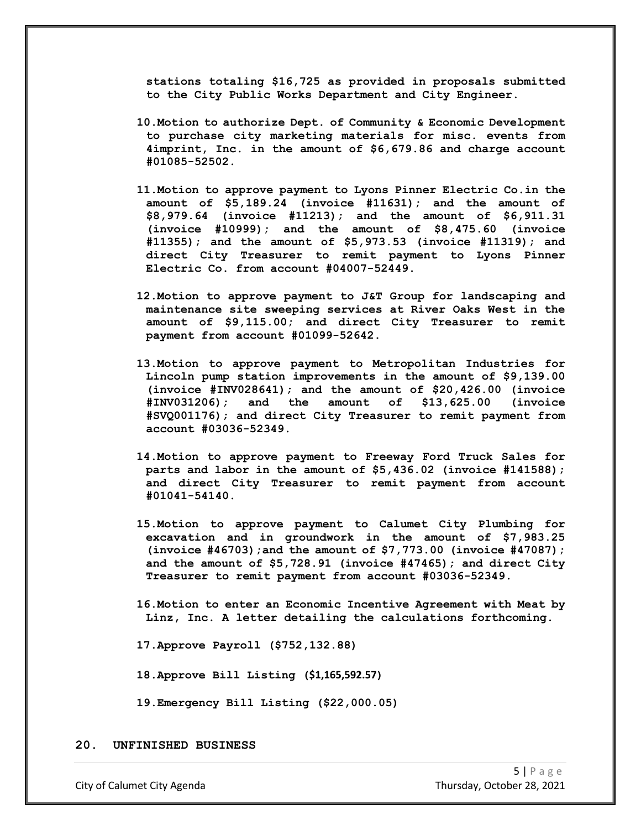**stations totaling \$16,725 as provided in proposals submitted to the City Public Works Department and City Engineer.**

- **10.Motion to authorize Dept. of Community & Economic Development to purchase city marketing materials for misc. events from 4imprint, Inc. in the amount of \$6,679.86 and charge account #01085-52502.**
- **11.Motion to approve payment to Lyons Pinner Electric Co.in the amount of \$5,189.24 (invoice #11631); and the amount of \$8,979.64 (invoice #11213); and the amount of \$6,911.31 (invoice #10999); and the amount of \$8,475.60 (invoice #11355); and the amount of \$5,973.53 (invoice #11319); and direct City Treasurer to remit payment to Lyons Pinner Electric Co. from account #04007-52449.**
- **12.Motion to approve payment to J&T Group for landscaping and maintenance site sweeping services at River Oaks West in the amount of \$9,115.00; and direct City Treasurer to remit payment from account #01099-52642.**
- **13.Motion to approve payment to Metropolitan Industries for Lincoln pump station improvements in the amount of \$9,139.00 (invoice #INV028641); and the amount of \$20,426.00 (invoice #INV031206); and the amount of \$13,625.00 (invoice #SVQ001176); and direct City Treasurer to remit payment from account #03036-52349.**
- **14.Motion to approve payment to Freeway Ford Truck Sales for parts and labor in the amount of \$5,436.02 (invoice #141588); and direct City Treasurer to remit payment from account #01041-54140.**
- **15.Motion to approve payment to Calumet City Plumbing for excavation and in groundwork in the amount of \$7,983.25 (invoice #46703);and the amount of \$7,773.00 (invoice #47087); and the amount of \$5,728.91 (invoice #47465); and direct City Treasurer to remit payment from account #03036-52349.**
- **16.Motion to enter an Economic Incentive Agreement with Meat by Linz, Inc. A letter detailing the calculations forthcoming.**
- **17.Approve Payroll (\$752,132.88)**
- **18.Approve Bill Listing (\$1,165,592.57)**
- **19.Emergency Bill Listing (\$22,000.05)**

### **20. UNFINISHED BUSINESS**